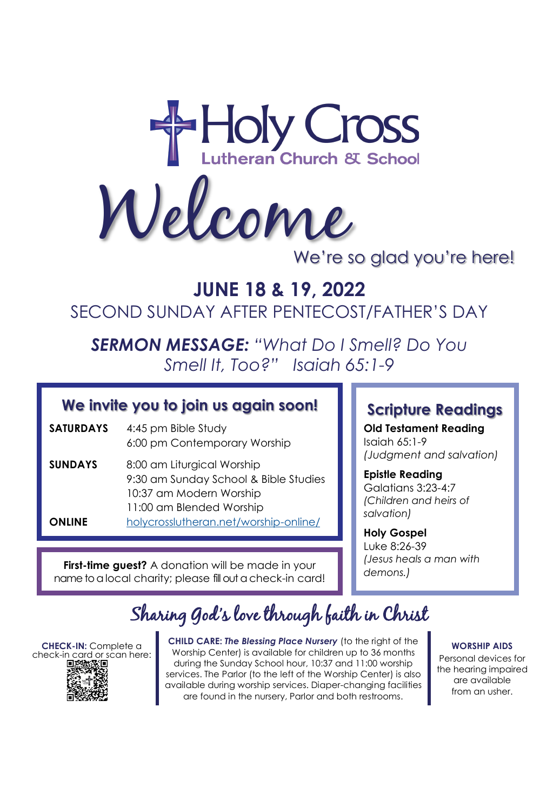

Welcome

## We're so glad you're here!

# **JUNE 18 & 19, 2022** SECOND SUNDAY AFTER PENTECOST/FATHER'S DAY

*SERMON MESSAGE: "What Do I Smell? Do You Smell It, Too?" Isaiah 65:1-9*

### **We invite you to join us again soon!**

- **SATURDAYS** 4:45 pm Bible Study 6:00 pm Contemporary Worship
- **SUNDAYS** 8:00 am Liturgical Worship 9:30 am Sunday School & Bible Studies 10:37 am Modern Worship 11:00 am Blended Worship **ONLINE** [holycrosslutheran.net/worship-online/](https://holycrosslutheran.net/worship-online/)

**First-time guest?** A donation will be made in your name to a local charity; please fill out a check-in card!

### **Scripture Readings**

**Old Testament Reading** Isaiah 65:1-9 *(Judgment and salvation)*

**Epistle Reading** Galatians 3:23-4:7 *(Children and heirs of salvation)*

**Holy Gospel** Luke 8:26-39 *(Jesus heals a man with demons.)*

# Sharing God's love through faith in Christ

**CHECK-IN:** Complete a check-in card or scan here:<br>mww.wim



**CHILD CARE:** *The Blessing Place Nursery* (to the right of the Worship Center) is available for children up to 36 months during the Sunday School hour, 10:37 and 11:00 worship services. The Parlor (to the left of the Worship Center) is also available during worship services. Diaper-changing facilities are found in the nursery, Parlor and both restrooms.

**WORSHIP AIDS**

Personal devices for the hearing impaired are available from an usher.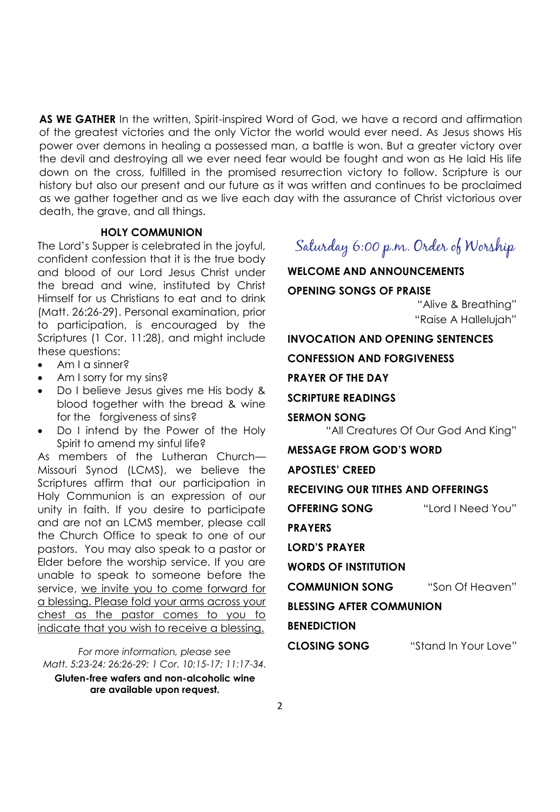**AS WE GATHER** In the written, Spirit-inspired Word of God, we have a record and affirmation of the greatest victories and the only Victor the world would ever need. As Jesus shows His power over demons in healing a possessed man, a battle is won. But a greater victory over the devil and destroying all we ever need fear would be fought and won as He laid His life down on the cross, fulfilled in the promised resurrection victory to follow. Scripture is our history but also our present and our future as it was written and continues to be proclaimed as we gather together and as we live each day with the assurance of Christ victorious over death, the grave, and all things.

#### **HOLY COMMUNION**

The Lord's Supper is celebrated in the joyful, confident confession that it is the true body and blood of our Lord Jesus Christ under the bread and wine, instituted by Christ Himself for us Christians to eat and to drink (Matt. 26:26-29). Personal examination, prior to participation, is encouraged by the Scriptures (1 Cor. 11:28), and might include these questions:

- Am I a sinner?
- Am I sorry for my sins?
- Do I believe Jesus gives me His body & blood together with the bread & wine for the forgiveness of sins?
- Do I intend by the Power of the Holy Spirit to amend my sinful life?

As members of the Lutheran Church— Missouri Synod (LCMS), we believe the Scriptures affirm that our participation in Holy Communion is an expression of our unity in faith. If you desire to participate and are not an LCMS member, please call the Church Office to speak to one of our pastors. You may also speak to a pastor or Elder before the worship service. If you are unable to speak to someone before the service, we invite you to come forward for a blessing. Please fold your arms across your chest as the pastor comes to you to indicate that you wish to receive a blessing.

*For more information, please see Matt. 5:23-24; 26:26-29; 1 Cor. 10:15-17; 11:17-34.* 

**Gluten-free wafers and non-alcoholic wine are available upon request.**

### Saturday 6:00 p.m. Order of Worship

**WELCOME AND ANNOUNCEMENTS OPENING SONGS OF PRAISE** "Alive & Breathing" "Raise A Hallelujah" **INVOCATION AND OPENING SENTENCES CONFESSION AND FORGIVENESS PRAYER OF THE DAY SCRIPTURE READINGS SERMON SONG** "All Creatures Of Our God And King" **MESSAGE FROM GOD'S WORD APOSTLES' CREED RECEIVING OUR TITHES AND OFFERINGS OFFERING SONG** "Lord I Need You" **PRAYERS LORD'S PRAYER WORDS OF INSTITUTION COMMUNION SONG** "Son Of Heaven" **BLESSING AFTER COMMUNION BENEDICTION CLOSING SONG** "Stand In Your Love"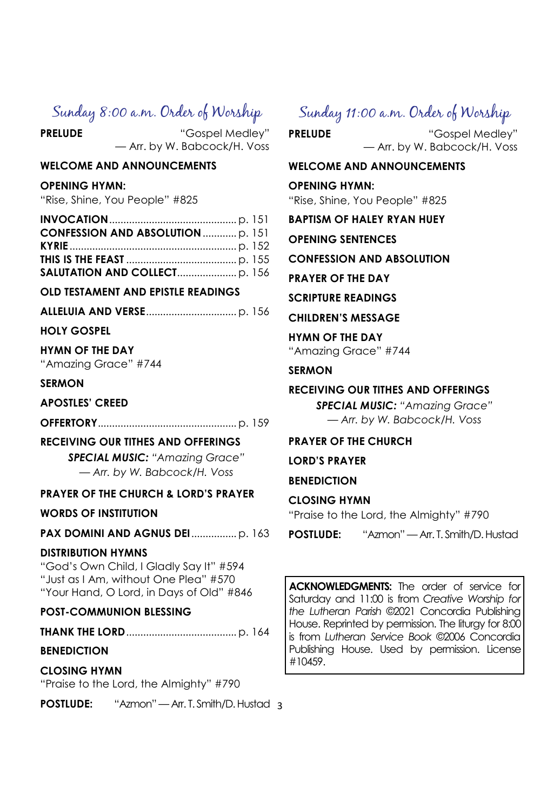### Sunday 8:00 a.m. Order of Worship

**PRELUDE** "Gospel Medley" — Arr. by W. Babcock/H. Voss

#### **WELCOME AND ANNOUNCEMENTS**

#### **OPENING HYMN:**

"Rise, Shine, You People" #825

#### **OLD TESTAMENT AND EPISTLE READINGS**

**ALLELUIA AND VERSE**................................ p. 156

#### **HOLY GOSPEL**

#### **HYMN OF THE DAY**

"Amazing Grace" #744

#### **SERMON**

#### **APOSTLES' CREED**

**OFFERTORY**.................................................p. 159

#### **RECEIVING OUR TITHES AND OFFERINGS**

*SPECIAL MUSIC: "Amazing Grace" — Arr. by W. Babcock/H. Voss*

#### **PRAYER OF THE CHURCH & LORD'S PRAYER**

#### **WORDS OF INSTITUTION**

#### **PAX DOMINI AND AGNUS DEI**................p. 163

#### **DISTRIBUTION HYMNS**

"God's Own Child, I Gladly Say It" #594 "Just as I Am, without One Plea" #570 "Your Hand, O Lord, in Days of Old" #846

#### **POST-COMMUNION BLESSING**

**THANK THE LORD**.......................................p. 164

#### **BENEDICTION**

**CLOSING HYMN**  "Praise to the Lord, the Almighty" #790

**POSTLUDE:** "Azmon" — Arr. T. Smith/D. Hustad 3

### Sunday 11:00 a.m. Order of Worship

**PRELUDE** "Gospel Medley" — Arr. by W. Babcock/H. Voss

#### **WELCOME AND ANNOUNCEMENTS**

#### **OPENING HYMN:**

"Rise, Shine, You People" #825

**BAPTISM OF HALEY RYAN HUEY**

**OPENING SENTENCES**

**CONFESSION AND ABSOLUTION**

**PRAYER OF THE DAY**

**SCRIPTURE READINGS**

**CHILDREN'S MESSAGE**

**HYMN OF THE DAY** "Amazing Grace" #744

#### **SERMON**

#### **RECEIVING OUR TITHES AND OFFERINGS**

*SPECIAL MUSIC: "Amazing Grace" — Arr. by W. Babcock/H. Voss*

#### **PRAYER OF THE CHURCH**

**LORD'S PRAYER**

**BENEDICTION**

#### **CLOSING HYMN**

"Praise to the Lord, the Almighty" #790

**POSTLUDE:** "Azmon" — Arr. T. Smith/D. Hustad

**ACKNOWLEDGMENTS:** The order of service for Saturday and 11:00 is from *Creative Worship for the Lutheran Parish* ©2021 Concordia Publishing House. Reprinted by permission. The liturgy for 8:00 is from *Lutheran Service Book* ©2006 Concordia Publishing House. Used by permission. License #10459.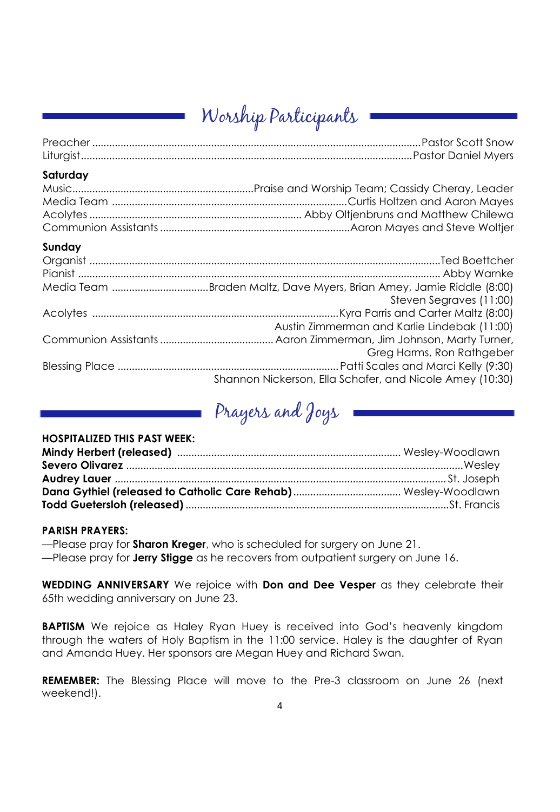# Worship Participants

| Saturday                                                 |
|----------------------------------------------------------|
|                                                          |
| Sunday                                                   |
|                                                          |
|                                                          |
|                                                          |
| Steven Segraves (11:00)                                  |
|                                                          |
| Austin Zimmerman and Karlie Lindebak (11:00)             |
|                                                          |
| Greg Harms, Ron Rathgeber                                |
|                                                          |
| Shannon Nickerson, Ella Schafer, and Nicole Amey (10:30) |

# Prayers and Joys

#### **HOSPITALIZED THIS PAST WEEK:**

#### **PARISH PRAYERS:**

—Please pray for **Sharon Kreger**, who is scheduled for surgery on June 21. —Please pray for **Jerry Stigge** as he recovers from outpatient surgery on June 16.

**WEDDING ANNIVERSARY** We rejoice with **Don and Dee Vesper** as they celebrate their 65th wedding anniversary on June 23.

**BAPTISM** We rejoice as Haley Ryan Huey is received into God's heavenly kingdom through the waters of Holy Baptism in the 11:00 service. Haley is the daughter of Ryan and Amanda Huey. Her sponsors are Megan Huey and Richard Swan.

**REMEMBER:** The Blessing Place will move to the Pre-3 classroom on June 26 (next weekend!).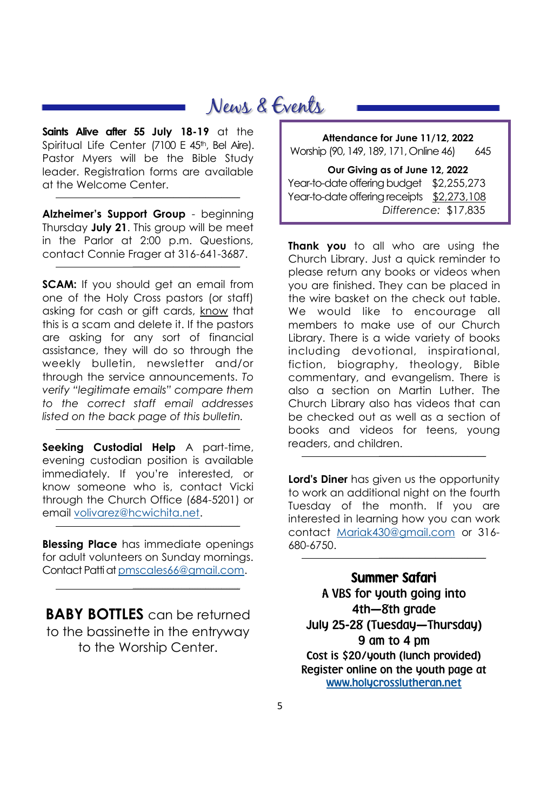# News & Events

**Saints Alive after 55 July 18-19** at the Spiritual Life Center (7100 E 45th, Bel Aire). Pastor Myers will be the Bible Study leader. Registration forms are available at the Welcome Center.

*\_\_\_\_\_\_\_\_\_\_\_\_\_\_\_\_\_\_\_\_\_\_\_\_\_\_\_\_\_\_\_\_\_\_\_\_\_\_\_\_*

 $\mathcal{L}^{\mathcal{L}}$ 

*\_\_\_\_\_\_\_\_\_\_\_\_\_\_\_\_\_\_\_\_\_\_\_\_\_\_\_\_\_\_\_\_\_\_\_\_\_\_\_\_*

*\_\_\_\_\_\_\_\_\_\_\_\_\_\_\_\_\_\_\_\_\_\_\_\_\_\_\_\_\_\_\_\_\_\_\_\_\_\_\_\_*

*\_\_\_\_\_\_\_\_\_\_\_\_\_\_\_\_\_\_\_\_\_\_\_\_\_\_\_\_\_\_\_\_\_\_\_\_\_\_\_\_*

**Alzheimer's Support Group** - beginning Thursday **July 21**. This group will be meet in the Parlor at 2:00 p.m. Questions, contact Connie Frager at 316-641-3687.

**SCAM:** If you should get an email from one of the Holy Cross pastors (or staff) asking for cash or gift cards, know that this is a scam and delete it. If the pastors are asking for any sort of financial assistance, they will do so through the weekly bulletin, newsletter and/or through the service announcements. *To verify "legitimate emails" compare them to the correct staff email addresses listed on the back page of this bulletin.*

**Seeking Custodial Help** A part-time, evening custodian position is available immediately. If you're interested, or know someone who is, contact Vicki through the Church Office (684-5201) or email [volivarez@hcwichita.net.](mailto:volivarez@hcwichita.net)

**Blessing Place** has immediate openings for adult volunteers on Sunday mornings. Contact Patti at [pmscales66@gmail.com.](mailto:pmscales66@gmail.com)

**BABY BOTTLES** can be returned to the bassinette in the entryway to the Worship Center.

**Attendance for June 11/12, 2022** Worship (90, 149, 189, 171, Online 46) 645 **Our Giving as of June 12, 2022**

Year-to-date offering budget \$2,255,273 Year-to-date offering receipts \$2,273,108 *Difference:* \$17,835

**Thank you** to all who are using the Church Library. Just a quick reminder to please return any books or videos when you are finished. They can be placed in the wire basket on the check out table. We would like to encourage all members to make use of our Church Library. There is a wide variety of books including devotional, inspirational, fiction, biography, theology, Bible commentary, and evangelism. There is also a section on Martin Luther. The Church Library also has videos that can be checked out as well as a section of books and videos for teens, young readers, and children.

**Lord's Diner** has given us the opportunity to work an additional night on the fourth Tuesday of the month. If you are interested in learning how you can work contact [Mariak430@gmail.com](mailto:Mariak430@gmail.com) or 316- 680-6750.

*\_\_\_\_\_\_\_\_\_\_\_\_\_\_\_\_\_\_\_\_\_\_\_\_\_\_\_\_\_\_\_\_\_\_\_\_\_\_\_\_*

*\_\_\_\_\_\_\_\_\_\_\_\_\_\_\_\_\_\_\_\_\_\_\_\_\_\_\_\_\_\_\_\_\_\_\_\_\_\_\_\_*

Summer Safari A VBS for youth going into 4th—8th grade July 25-28 (Tuesday—Thursday) 9 am to 4 pm Cost is \$20/youth (lunch provided) Register online on the youth page at [www.holycrosslutheran.net](http://www.holycrosslutheran.net/)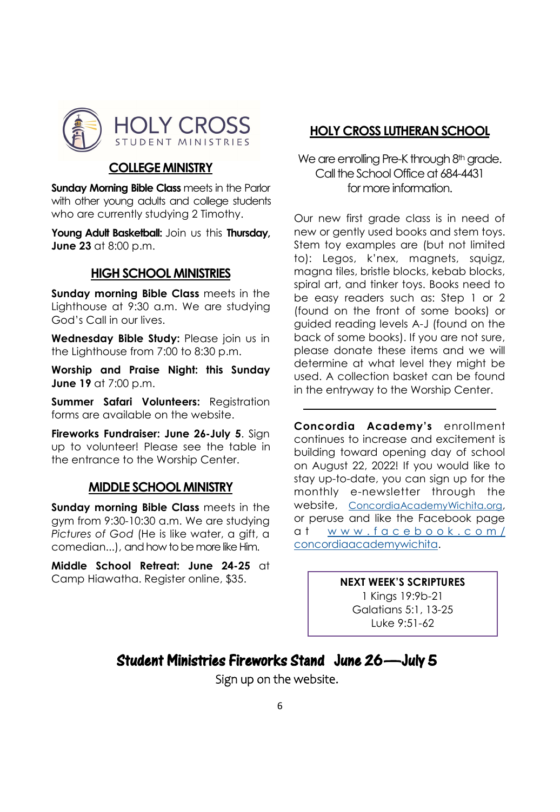

#### **COLLEGE MINISTRY**

**Sunday Morning Bible Class meets in the Parlor** with other young adults and college students who are currently studying 2 Timothy.

**Young Adult Basketball:** Join us this **Thursday, June 23** at 8:00 p.m.

#### **HIGH SCHOOL MINISTRIES**

**Sunday morning Bible Class** meets in the Lighthouse at 9:30 a.m. We are studying God's Call in our lives.

**Wednesday Bible Study:** Please join us in the Lighthouse from 7:00 to 8:30 p.m.

**Worship and Praise Night: this Sunday June 19** at 7:00 p.m.

**Summer Safari Volunteers:** Registration forms are available on the website.

**Fireworks Fundraiser: June 26-July 5**. Sign up to volunteer! Please see the table in the entrance to the Worship Center.

#### **MIDDLE SCHOOL MINISTRY**

**Sunday morning Bible Class** meets in the gym from 9:30-10:30 a.m. We are studying *Pictures of God* (He is like water, a gift, a comedian...), and how to be more like Him.

**Middle School Retreat: June 24-25** at Camp Hiawatha. Register online, \$35.

### **HOLY CROSS LUTHERAN SCHOOL**

#### We are enrolling Pre-K through 8th grade. Call the School Office at 684-4431 for more information.

Our new first grade class is in need of new or gently used books and stem toys. Stem toy examples are (but not limited to): Legos, k'nex, magnets, squigz, magna tiles, bristle blocks, kebab blocks, spiral art, and tinker toys. Books need to be easy readers such as: Step 1 or 2 (found on the front of some books) or guided reading levels A-J (found on the back of some books). If you are not sure, please donate these items and we will determine at what level they might be used. A collection basket can be found in the entryway to the Worship Center.

**Concordia Academy's** enrollment continues to increase and excitement is building toward opening day of school on August 22, 2022! If you would like to stay up-to-date, you can sign up for the monthly e-newsletter through the website, <ConcordiaAcademyWichita.org>, or peruse and like the Facebook page at www.facebook.com/ [concordiaacademywichita.](https://nam12.safelinks.protection.outlook.com/?url=http%3A%2F%2Fwww.facebook.com%2Fconcordiaacademywichita&data=05%7C01%7CLWagner%40hcwichita.net%7C0de5d7e17b694ff3273008da4313bb9a%7Ceadd45807d07468b8226d70a31c29e39%7C1%7C0%7C637896049273971648%7CUnknown%7CT)

#### **NEXT WEEK'S SCRIPTURES**

1 Kings 19:9b-21 Galatians 5:1, 13-25 Luke 9:51-62

### Student Ministries Fireworks Stand June 26—July 5

Sign up on the website.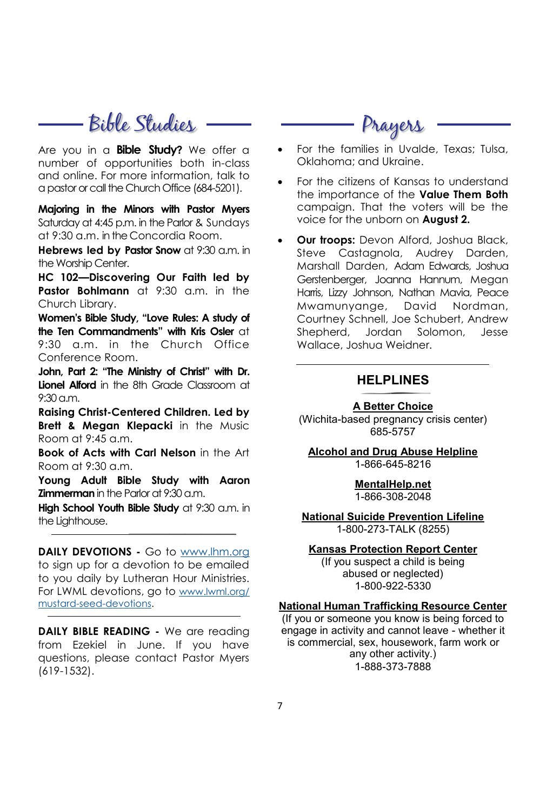# - Bible Studies —— ——————— Prayers

Are you in a **Bible Study?** We offer a number of opportunities both in-class and online. For more information, talk to a pastor or call the Church Office (684-5201).

**Majoring in the Minors with Pastor Myers**  Saturday at 4:45 p.m. in the Parlor & Sundays at 9:30 a.m. in the Concordia Room.

**Hebrews led by Pastor Snow** at 9:30 a.m. in the Worship Center.

**HC 102—Discovering Our Faith led by Pastor Bohlmann** at 9:30 a.m. in the Church Library.

**Women's Bible Study, "Love Rules: A study of the Ten Commandments" with Kris Osler** at  $9:30$  a.m. in the Church Office Conference Room.

**John, Part 2: "The Ministry of Christ" with Dr. Lionel Alford** in the 8th Grade Classroom at 9:30 a.m.

**Raising Christ-Centered Children. Led by Brett & Megan Klepacki** in the Music Room at 9:45 a.m.

**Book of Acts with Carl Nelson** in the Art Room at  $9:30 \text{ a m}$ 

**Young Adult Bible Study with Aaron Zimmerman** in the Parlor at 9:30 a.m.

**High School Youth Bible Study** at 9:30 a.m. in the Lighthouse.

*\_\_\_\_\_\_\_\_\_\_\_\_\_\_\_\_\_\_\_\_\_\_\_\_\_\_\_\_\_\_\_\_\_\_\_\_\_\_\_\_*

**DAILY DEVOTIONS -** Go to [www.lhm.org](http://www.lhm.org) to sign up for a devotion to be emailed to you daily by Lutheran Hour Ministries. For LWML devotions, go to [www.lwml.org/](http://www.lwml.org/mustard-seed-devotions) [mustard-seed-devotions.](http://www.lwml.org/mustard-seed-devotions)

**DAILY BIBLE READING -** We are reading from Ezekiel in June. If you have questions, please contact Pastor Myers (619-1532).

- For the families in Uvalde, Texas; Tulsa, Oklahoma; and Ukraine.
- For the citizens of Kansas to understand the importance of the **Value Them Both**  campaign. That the voters will be the voice for the unborn on **August 2.**
- **Our troops:** Devon Alford, Joshua Black, Steve Castagnola, Audrey Darden, Marshall Darden, Adam Edwards, Joshua Gerstenberger, Joanna Hannum, Megan Harris, Lizzy Johnson, Nathan Mavia, Peace Mwamunyange, David Nordman, Courtney Schnell, Joe Schubert, Andrew Shepherd, Jordan Solomon, Jesse Wallace, Joshua Weidner.

#### **HELPLINES**

#### **A Better Choice**

(Wichita-based pregnancy crisis center) 685-5757

**Alcohol and Drug Abuse Helpline** 1-866-645-8216

#### **MentalHelp.net** 1-866-308-2048

**National Suicide Prevention Lifeline** 1-800-273-TALK (8255)

#### **Kansas Protection Report Center**

(If you suspect a child is being abused or neglected) 1-800-922-5330

#### **National Human Trafficking Resource Center**

(If you or someone you know is being forced to engage in activity and cannot leave - whether it is commercial, sex, housework, farm work or any other activity.) 1-888-373-7888